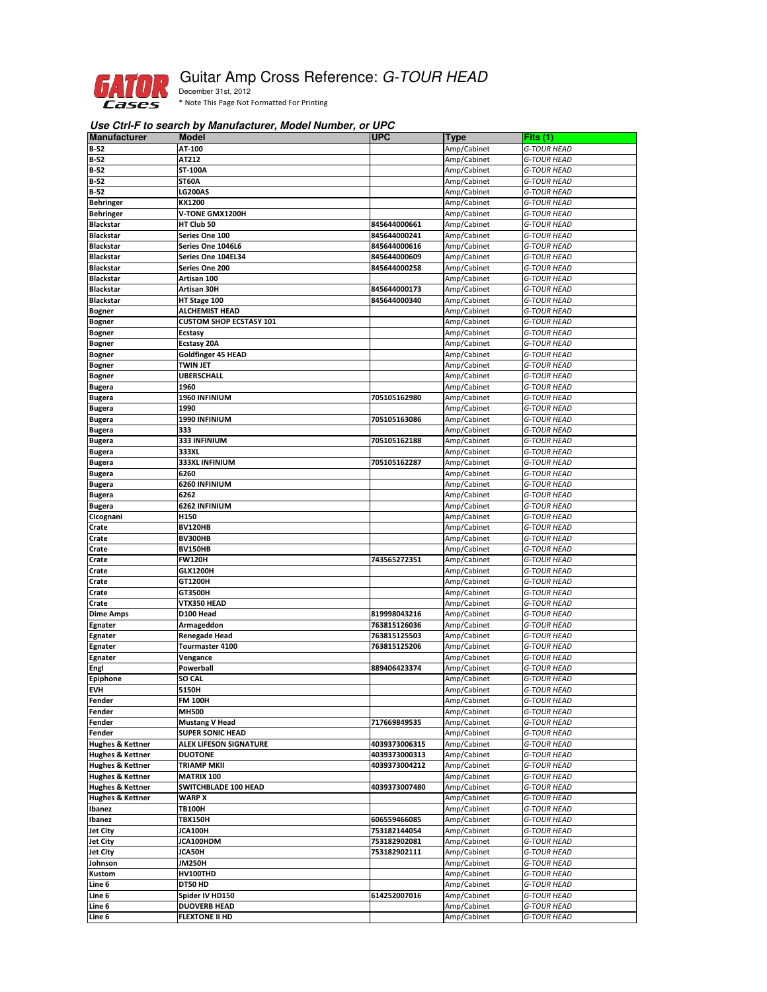

## Guitar Amp Cross Reference: G-TOUR HEAD

December 31st, 2012 \* Note This Page Not Formatted For Printing

## **Use Ctrl-F to search by Manufacturer, Model Number, or UPC**

| <b>Manufacturer</b>                                        | <b>Model</b>                         | <b>UPC</b>    | <b>Type</b> | Fits $(1)$                               |
|------------------------------------------------------------|--------------------------------------|---------------|-------------|------------------------------------------|
| <b>B-52</b>                                                | AT-100                               |               | Amp/Cabinet | <b>G-TOUR HEAD</b>                       |
| $B-52$                                                     | AT212                                |               | Amp/Cabinet | <b>G-TOUR HEAD</b>                       |
| $B-52$                                                     | ST-100A                              |               | Amp/Cabinet | <b>G-TOUR HEAD</b>                       |
| $B-52$                                                     | <b>ST60A</b>                         |               | Amp/Cabinet | G-TOUR HEAD                              |
| $B-52$                                                     | <b>LG200AS</b>                       |               | Amp/Cabinet | <b>G-TOUR HEAD</b>                       |
| <b>Behringer</b>                                           | KX1200                               |               | Amp/Cabinet | G-TOUR HEAD                              |
| <b>Behringer</b>                                           | V-TONE GMX1200H                      |               | Amp/Cabinet | <b>G-TOUR HEAD</b>                       |
| <b>Blackstar</b>                                           | HT Club 50                           | 845644000661  | Amp/Cabinet | G-TOUR HEAD                              |
| <b>Blackstar</b>                                           | Series One 100                       | 845644000241  | Amp/Cabinet | <b>G-TOUR HEAD</b>                       |
| <b>Blackstar</b>                                           | Series One 1046L6                    | 845644000616  | Amp/Cabinet | <b>G-TOUR HEAD</b>                       |
| <b>Blackstar</b>                                           | Series One 104EL34                   | 845644000609  | Amp/Cabinet | <b>G-TOUR HEAD</b>                       |
| <b>Blackstar</b>                                           | Series One 200                       | 845644000258  | Amp/Cabinet | <b>G-TOUR HEAD</b>                       |
| <b>Blackstar</b>                                           | Artisan 100                          |               | Amp/Cabinet | <b>G-TOUR HEAD</b>                       |
| <b>Blackstar</b>                                           | Artisan 30H                          | 845644000173  | Amp/Cabinet | G-TOUR HEAD                              |
| <b>Blackstar</b>                                           | HT Stage 100                         | 845644000340  | Amp/Cabinet | <b>G-TOUR HEAD</b>                       |
| <b>Bogner</b>                                              | ALCHEMIST HEAD                       |               | Amp/Cabinet | G-TOUR HEAD                              |
| <b>Bogner</b>                                              | <b>CUSTOM SHOP ECSTASY 101</b>       |               | Amp/Cabinet | <b>G-TOUR HEAD</b>                       |
| <b>Bogner</b>                                              | <b>Ecstasy</b>                       |               | Amp/Cabinet | <b>G-TOUR HEAD</b>                       |
|                                                            | <b>Ecstasy 20A</b>                   |               | Amp/Cabinet | <b>G-TOUR HEAD</b>                       |
| <b>Bogner</b>                                              |                                      |               | Amp/Cabinet | <b>G-TOUR HEAD</b>                       |
| <b>Bogner</b>                                              | Goldfinger 45 HEAD                   |               |             |                                          |
| <b>Bogner</b>                                              | <b>TWIN JET</b><br><b>UBERSCHALL</b> |               | Amp/Cabinet | <b>G-TOUR HEAD</b>                       |
| <b>Bogner</b>                                              |                                      |               | Amp/Cabinet | <b>G-TOUR HEAD</b>                       |
| <b>Bugera</b>                                              | 1960                                 |               | Amp/Cabinet | G-TOUR HEAD                              |
| <b>Bugera</b>                                              | 1960 INFINIUM                        | 705105162980  | Amp/Cabinet | <b>G-TOUR HEAD</b>                       |
| <b>Bugera</b>                                              | 1990                                 |               | Amp/Cabinet | G-TOUR HEAD                              |
| <b>Bugera</b>                                              | 1990 INFINIUM                        | 705105163086  | Amp/Cabinet | <b>G-TOUR HEAD</b>                       |
| <b>Bugera</b>                                              | 333                                  |               | Amp/Cabinet | <b>G-TOUR HEAD</b>                       |
| <b>Bugera</b>                                              | 333 INFINIUM                         | 705105162188  | Amp/Cabinet | <b>G-TOUR HEAD</b>                       |
| <b>Bugera</b>                                              | 333XL                                |               | Amp/Cabinet | G-TOUR HEAD                              |
| <b>Bugera</b>                                              | <b>333XL INFINIUM</b>                | 705105162287  | Amp/Cabinet | <b>G-TOUR HEAD</b>                       |
| <b>Bugera</b>                                              | 6260                                 |               | Amp/Cabinet | G-TOUR HEAD                              |
| <b>Bugera</b>                                              | 6260 INFINIUM                        |               | Amp/Cabinet | <b>G-TOUR HEAD</b>                       |
| <b>Bugera</b>                                              | 6262                                 |               | Amp/Cabinet | G-TOUR HEAD                              |
| <b>Bugera</b>                                              | 6262 INFINIUM                        |               | Amp/Cabinet | <b>G-TOUR HEAD</b>                       |
| Cicognani                                                  | H150                                 |               | Amp/Cabinet | <b>G-TOUR HEAD</b>                       |
| Crate                                                      | <b>BV120HB</b>                       |               | Amp/Cabinet | G-TOUR HEAD                              |
| Crate                                                      | BV300HB                              |               | Amp/Cabinet | G-TOUR HEAD                              |
| Crate                                                      | <b>BV150HB</b>                       |               | Amp/Cabinet | <b>G-TOUR HEAD</b>                       |
| Crate                                                      | <b>FW120H</b>                        | 743565272351  | Amp/Cabinet | G-TOUR HEAD                              |
| Crate                                                      | <b>GLX1200H</b>                      |               | Amp/Cabinet | <b>G-TOUR HEAD</b>                       |
| Crate                                                      | GT1200H                              |               | Amp/Cabinet | G-TOUR HEAD                              |
| Crate                                                      | GT3500H                              |               | Amp/Cabinet | <b>G-TOUR HEAD</b>                       |
| Crate                                                      | VTX350 HEAD                          |               | Amp/Cabinet | <b>G-TOUR HEAD</b>                       |
| <b>Dime Amps</b>                                           | D100 Head                            | 819998043216  | Amp/Cabinet | <b>G-TOUR HEAD</b>                       |
| Egnater                                                    | Armageddon                           | 763815126036  | Amp/Cabinet | <b>G-TOUR HEAD</b>                       |
| Egnater                                                    | <b>Renegade Head</b>                 | 763815125503  | Amp/Cabinet | <b>G-TOUR HEAD</b>                       |
| Egnater                                                    | Tourmaster 4100                      | 763815125206  | Amp/Cabinet | <b>G-TOUR HEAD</b>                       |
| <b>Egnater</b>                                             | Vengance                             |               | Amp/Cabinet | G-TOUR HEAD                              |
| Engl                                                       | Powerball                            | 889406423374  | Amp/Cabinet | <b>G-TOUR HEAD</b>                       |
| <b>Epiphone</b>                                            | SO CAL                               |               | Amp/Cabinet | <b>G-TOUR HEAD</b>                       |
| <b>EVH</b>                                                 | 5150H                                |               | Amp/Cabinet | <b>G-TOUR HEAD</b>                       |
| Fender                                                     | FM 100H                              |               | Amp/Cabinet | <b>G-TOUR HEAD</b>                       |
| Fender                                                     | MH500                                |               | Amp/Cabinet | <b>G-TOUR HEAD</b>                       |
| Fender                                                     | <b>Mustang V Head</b>                | 717669849535  | Amp/Cabinet | <b>G-TOUR HEAD</b>                       |
| Fender                                                     | <b>SUPER SONIC HEAD</b>              |               | Amp/Cabinet |                                          |
|                                                            | <b>ALEX LIFESON SIGNATURE</b>        |               | Amp/Cabinet | <b>G-TOUR HEAD</b><br><b>G-TOUR HEAD</b> |
| <b>Hughes &amp; Kettner</b><br><b>Hughes &amp; Kettner</b> |                                      | 4039373006315 | Amp/Cabinet | <b>G-TOUR HEAD</b>                       |
|                                                            | <b>DUOTONE</b>                       | 4039373000313 |             |                                          |
| <b>Hughes &amp; Kettner</b>                                | TRIAMP MKII                          | 4039373004212 | Amp/Cabinet | <b>G-TOUR HEAD</b>                       |
| <b>Hughes &amp; Kettner</b>                                | <b>MATRIX 100</b>                    |               | Amp/Cabinet | G-TOUR HEAD                              |
| <b>Hughes &amp; Kettner</b>                                | SWITCHBLADE 100 HEAD                 | 4039373007480 | Amp/Cabinet | <b>G-TOUR HEAD</b>                       |
| <b>Hughes &amp; Kettner</b>                                | <b>WARP X</b>                        |               | Amp/Cabinet | <b>G-TOUR HEAD</b>                       |
| Ibanez                                                     | <b>TB100H</b>                        |               | Amp/Cabinet | <b>G-TOUR HEAD</b>                       |
| Ibanez                                                     | <b>TBX150H</b>                       | 606559466085  | Amp/Cabinet | <b>G-TOUR HEAD</b>                       |
| <b>Jet City</b>                                            | JCA100H                              | 753182144054  | Amp/Cabinet | G-TOUR HEAD                              |
| <b>Jet City</b>                                            | JCA100HDM                            | 753182902081  | Amp/Cabinet | <b>G-TOUR HEAD</b>                       |
| <b>Jet City</b>                                            | JCA50H                               | 753182902111  | Amp/Cabinet | <b>G-TOUR HEAD</b>                       |
| Johnson                                                    | JM250H                               |               | Amp/Cabinet | <b>G-TOUR HEAD</b>                       |
| Kustom                                                     | <b>HV100THD</b>                      |               | Amp/Cabinet | G-TOUR HEAD                              |
| Line 6                                                     | DT50 HD                              |               | Amp/Cabinet | <b>G-TOUR HEAD</b>                       |
| Line 6                                                     | Spider IV HD150                      | 614252007016  | Amp/Cabinet | <b>G-TOUR HEAD</b>                       |
| Line 6                                                     | <b>DUOVERB HEAD</b>                  |               | Amp/Cabinet | <b>G-TOUR HEAD</b>                       |
| Line 6                                                     | <b>FLEXTONE II HD</b>                |               | Amp/Cabinet | <b>G-TOUR HEAD</b>                       |